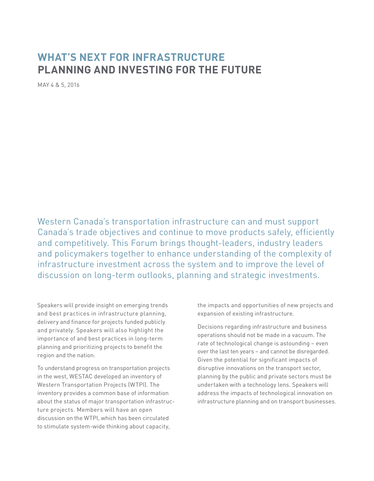# **WHAT'S NEXT FOR INFRASTRUCTURE PLANNING AND INVESTING FOR THE FUTURE**

MAY 4 & 5, 2016

Western Canada's transportation infrastructure can and must support Canada's trade objectives and continue to move products safely, efficiently and competitively. This Forum brings thought-leaders, industry leaders and policymakers together to enhance understanding of the complexity of infrastructure investment across the system and to improve the level of discussion on long-term outlooks, planning and strategic investments.

Speakers will provide insight on emerging trends and best practices in infrastructure planning, delivery and finance for projects funded publicly and privately. Speakers will also highlight the importance of and best practices in long-term planning and prioritizing projects to benefit the region and the nation.

To understand progress on transportation projects in the west, WESTAC developed an inventory of Western Transportation Projects (WTPI). The inventory provides a common base of information about the status of major transportation infrastructure projects. Members will have an open discussion on the WTPI, which has been circulated to stimulate system-wide thinking about capacity,

the impacts and opportunities of new projects and expansion of existing infrastructure.

Decisions regarding infrastructure and business operations should not be made in a vacuum. The rate of technological change is astounding – even over the last ten years – and cannot be disregarded. Given the potential for significant impacts of disruptive innovations on the transport sector, planning by the public and private sectors must be undertaken with a technology lens. Speakers will address the impacts of technological innovation on infrastructure planning and on transport businesses.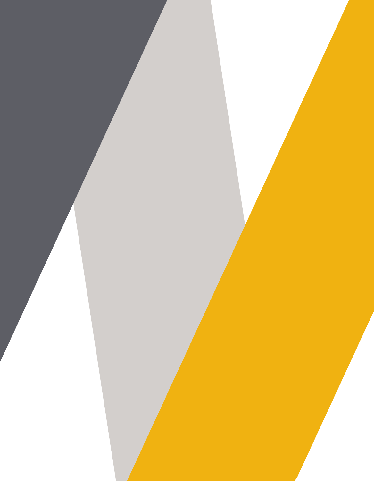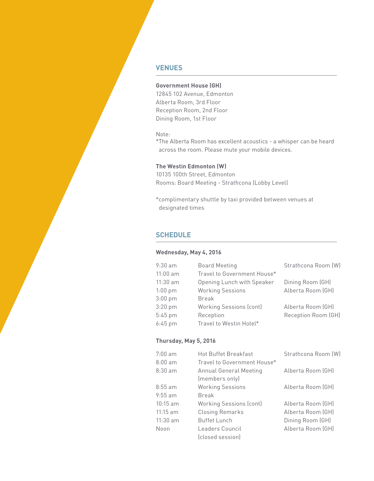## **VENUES**

#### **Government House (GH)**

12845 102 Avenue, Edmonton Alberta Room, 3rd Floor Reception Room, 2nd Floor Dining Room, 1st Floor

#### Note:

\*The Alberta Room has excellent acoustics - a whisper can be heard across the room. Please mute your mobile devices.

#### **The Westin Edmonton (W)**

10135 100th Street, Edmonton Rooms: Board Meeting - Strathcona (Lobby Level)

\*complimentary shuttle by taxi provided between venues at designated times

### **SCHEDULE**

#### **Wednesday, May 4, 2016**

| $9:30$ am         | <b>Board Meeting</b>           | Strathcona Room (W) |
|-------------------|--------------------------------|---------------------|
| $11:00$ am        | Travel to Government House*    |                     |
| $11:30$ am        | Opening Lunch with Speaker     | Dining Room (GH)    |
| $1:00$ pm         | <b>Working Sessions</b>        | Alberta Room (GH)   |
| $3:00$ pm         | <b>Break</b>                   |                     |
| $3:20$ pm         | <b>Working Sessions (cont)</b> | Alberta Room (GH)   |
| $5:45 \text{ pm}$ | Reception                      | Reception Room (GH) |
| $6:45$ pm         | Travel to Westin Hotel*        |                     |

### **Thursday, May 5, 2016**

| 7:00 am    | Hot Buffet Breakfast           | Strathcona Room (W) |
|------------|--------------------------------|---------------------|
| $8:00$ am  | Travel to Government House*    |                     |
| $8:30$ am  | <b>Annual General Meeting</b>  | Alberta Room (GH)   |
|            | (members only)                 |                     |
| 8:55 am    | <b>Working Sessions</b>        | Alberta Room (GH)   |
| $9:55$ am  | <b>Break</b>                   |                     |
| $10:15$ am | <b>Working Sessions (cont)</b> | Alberta Room (GH)   |
| $11:15$ am | <b>Closing Remarks</b>         | Alberta Room (GH)   |
| $11:30$ am | <b>Buffet Lunch</b>            | Dining Room (GH)    |
| Noon       | Leaders Council                | Alberta Room (GH)   |
|            | (closed session)               |                     |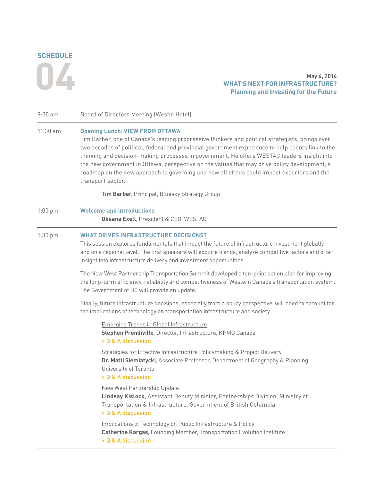# **SCHEDULE**

**144.2016**<br>**144.2016**<br>**144.2016**<br>**144.2016**<br>**144.2016**<br>**144.2016**<br>**144.2016**<br>Planning and Investing for the Future **WHAT'S NEXT FOR INFRASTRUCTURE? Planning and Investing for the Future**

9:30 am Board of Directors Meeting (Westin Hotel) 11:30 am **Opening Lunch: VIEW FROM OTTAWA** Tim Barber, one of Canada's leading progressive thinkers and political strategists, brings over two decades of political, federal and provincial government experience to help clients link to the thinking and decision-making processes in government. He offers WESTAC leaders insight into the new government in Ottawa, perspective on the values that may drive policy development, a roadmap on the new approach to governing and how all of this could impact exporters and the transport sector.  **Tim Barber**, Principal, Bluesky Strategy Group 1:00 pm **Welcome and introductions Oksana Exell**, President & CEO, WESTAC 1:30 pm **WHAT DRIVES INFRASTRUCTURE DECISIONS?** This session explores fundamentals that impact the future of infrastructure investment globally and on a regional level. The first speakers will explore trends, analyze competitive factors and offer insight into infrastructure delivery and investment opportunities. The New West Partnership Transportation Summit developed a ten-point action plan for improving the long-term efficiency, reliability and competitiveness of Western Canada's transportation system. The Government of BC will provide an update. Finally, future infrastructure decisions, especially from a policy perspective, will need to account for the implications of technology on transportation infrastructure and society. Emerging Trends in Global Infrastructure  **Stephen Prendiville**, Director, Infrastructure, KPMG Canada > Q & A discussion Strategies for Effective Infrastructure Policymaking & Project Delivery  **Dr. Matti Siemiatycki**, Associate Professor, Department of Geography & Planning University of Toronto > Q & A discussion New West Partnership Update **Lindsay Kislock**, Assistant Deputy Minister, Partnerships Division, Ministry of Transportation & Infrastructure, Government of British Columbia > Q & A discussion Implications of Technology on Public Infrastructure & Policy  **Catherine Kargas**, Founding Member, Transportation Evolution Institute > Q & A discussion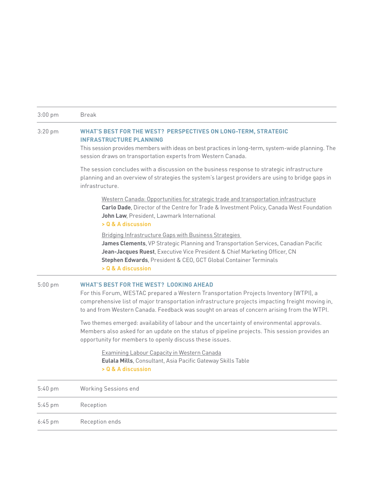| $3:00$ pm          | <b>Break</b>                                                                                                                                                                                                                                                                                                                                                                                                                                                                                   |
|--------------------|------------------------------------------------------------------------------------------------------------------------------------------------------------------------------------------------------------------------------------------------------------------------------------------------------------------------------------------------------------------------------------------------------------------------------------------------------------------------------------------------|
| $3:20$ pm          | WHAT'S BEST FOR THE WEST? PERSPECTIVES ON LONG-TERM, STRATEGIC<br><b>INFRASTRUCTURE PLANNING</b><br>This session provides members with ideas on best practices in long-term, system-wide planning. The<br>session draws on transportation experts from Western Canada.<br>The session concludes with a discussion on the business response to strategic infrastructure<br>planning and an overview of strategies the system's largest providers are using to bridge gaps in<br>infrastructure. |
|                    | Western Canada: Opportunities for strategic trade and transportation infrastructure<br>Carlo Dade, Director of the Centre for Trade & Investment Policy, Canada West Foundation<br>John Law, President, Lawmark International<br>> Q & A discussion                                                                                                                                                                                                                                            |
|                    | Bridging Infrastructure Gaps with Business Strategies<br>James Clements, VP Strategic Planning and Transportation Services, Canadian Pacific<br>Jean-Jacques Ruest, Executive Vice President & Chief Marketing Officer, CN<br>Stephen Edwards, President & CEO, GCT Global Container Terminals<br>> Q & A discussion                                                                                                                                                                           |
| $5:00~\mathrm{pm}$ | <b>WHAT'S BEST FOR THE WEST? LOOKING AHEAD</b><br>For this Forum, WESTAC prepared a Western Transportation Projects Inventory (WTPI), a<br>comprehensive list of major transportation infrastructure projects impacting freight moving in,<br>to and from Western Canada. Feedback was sought on areas of concern arising from the WTPI.                                                                                                                                                       |
|                    | Two themes emerged: availability of labour and the uncertainty of environmental approvals.<br>Members also asked for an update on the status of pipeline projects. This session provides an<br>opportunity for members to openly discuss these issues.                                                                                                                                                                                                                                         |
|                    | <b>Examining Labour Capacity in Western Canada</b><br>Eulala Mills, Consultant, Asia Pacific Gateway Skills Table<br>> Q & A discussion                                                                                                                                                                                                                                                                                                                                                        |
| $5:40~\mathrm{pm}$ | Working Sessions end                                                                                                                                                                                                                                                                                                                                                                                                                                                                           |
| $5:45$ pm          | Reception                                                                                                                                                                                                                                                                                                                                                                                                                                                                                      |
| $6:45$ pm          | Reception ends                                                                                                                                                                                                                                                                                                                                                                                                                                                                                 |
|                    |                                                                                                                                                                                                                                                                                                                                                                                                                                                                                                |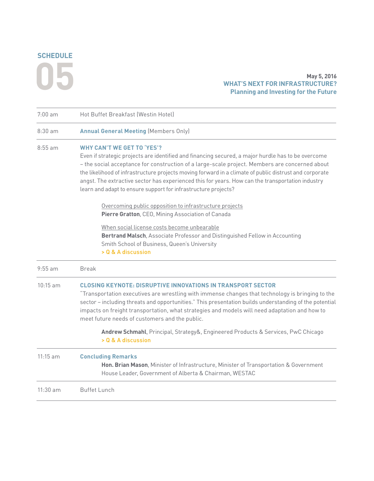# **SCHEDULE**



# May 5, 2016<br>WHAT'S NEXT FOR INFRASTRUCTURE?<br>Planning and Investing for the Future **WHAT'S NEXT FOR INFRASTRUCTURE? Planning and Investing for the Future**

| $7:00$ am  | Hot Buffet Breakfast (Westin Hotel)                                                                                                                                                                                                                                                                                                                                                                                                                                                                                       |
|------------|---------------------------------------------------------------------------------------------------------------------------------------------------------------------------------------------------------------------------------------------------------------------------------------------------------------------------------------------------------------------------------------------------------------------------------------------------------------------------------------------------------------------------|
| $8:30$ am  | <b>Annual General Meeting (Members Only)</b>                                                                                                                                                                                                                                                                                                                                                                                                                                                                              |
| $8:55$ am  | <b>WHY CAN'T WE GET TO 'YES'?</b><br>Even if strategic projects are identified and financing secured, a major hurdle has to be overcome<br>- the social acceptance for construction of a large-scale project. Members are concerned about<br>the likelihood of infrastructure projects moving forward in a climate of public distrust and corporate<br>angst. The extractive sector has experienced this for years. How can the transportation industry<br>learn and adapt to ensure support for infrastructure projects? |
|            | Overcoming public opposition to infrastructure projects<br>Pierre Gratton, CEO, Mining Association of Canada                                                                                                                                                                                                                                                                                                                                                                                                              |
|            | When social license costs become unbearable<br>Bertrand Malsch, Associate Professor and Distinguished Fellow in Accounting<br>Smith School of Business, Queen's University<br>> Q & A discussion                                                                                                                                                                                                                                                                                                                          |
| $9:55$ am  | <b>Break</b>                                                                                                                                                                                                                                                                                                                                                                                                                                                                                                              |
| $10:15$ am | <b>CLOSING KEYNOTE: DISRUPTIVE INNOVATIONS IN TRANSPORT SECTOR</b><br>"Transportation executives are wrestling with immense changes that technology is bringing to the<br>sector - including threats and opportunities." This presentation builds understanding of the potential<br>impacts on freight transportation, what strategies and models will need adaptation and how to<br>meet future needs of customers and the public.                                                                                       |
|            | Andrew Schmahl, Principal, Strategy&, Engineered Products & Services, PwC Chicago<br>> Q & A discussion                                                                                                                                                                                                                                                                                                                                                                                                                   |
| $11:15$ am | <b>Concluding Remarks</b><br>Hon. Brian Mason, Minister of Infrastructure, Minister of Transportation & Government<br>House Leader, Government of Alberta & Chairman, WESTAC                                                                                                                                                                                                                                                                                                                                              |
| $11:30$ am | <b>Buffet Lunch</b>                                                                                                                                                                                                                                                                                                                                                                                                                                                                                                       |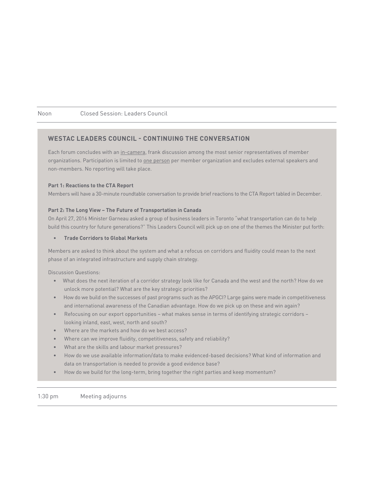Noon Closed Session: Leaders Council

### **WESTAC LEADERS COUNCIL - CONTINUING THE CONVERSATION**

Each forum concludes with an in-camera, frank discussion among the most senior representatives of member organizations. Participation is limited to one person per member organization and excludes external speakers and non-members. No reporting will take place.

#### **Part 1: Reactions to the CTA Report**

Members will have a 30-minute roundtable conversation to provide brief reactions to the CTA Report tabled in December.

#### **Part 2: The Long View – The Future of Transportation in Canada**

On April 27, 2016 Minister Garneau asked a group of business leaders in Toronto "what transportation can do to help build this country for future generations?" This Leaders Council will pick up on one of the themes the Minister put forth:

#### • **Trade Corridors to Global Markets**

Members are asked to think about the system and what a refocus on corridors and fluidity could mean to the next phase of an integrated infrastructure and supply chain strategy.

Discussion Questions:

- What does the next iteration of a corridor strategy look like for Canada and the west and the north? How do we unlock more potential? What are the key strategic priorities?
- How do we build on the successes of past programs such as the APGCI? Large gains were made in competitiveness and international awareness of the Canadian advantage. How do we pick up on these and win again?
- Refocusing on our export opportunities what makes sense in terms of identifying strategic corridors looking inland, east, west, north and south?
- Where are the markets and how do we best access?
- Where can we improve fluidity, competitiveness, safety and reliability?
- What are the skills and labour market pressures?
- How do we use available information/data to make evidenced-based decisions? What kind of information and data on transportation is needed to provide a good evidence base?
- How do we build for the long-term, bring together the right parties and keep momentum?

1:30 pm Meeting adjourns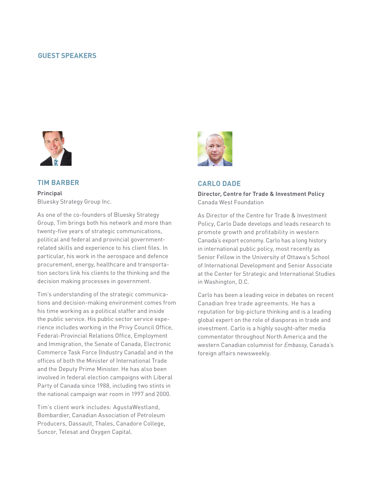### **GUEST SPEAKERS**



### **TIM BARBER**

**Principal** Bluesky Strategy Group Inc.

As one of the co-founders of Bluesky Strategy Group, Tim brings both his network and more than twenty-five years of strategic communications, political and federal and provincial governmentrelated skills and experience to his client files. In particular, his work in the aerospace and defence procurement, energy, healthcare and transportation sectors link his clients to the thinking and the decision making processes in government.

Tim's understanding of the strategic communications and decision-making environment comes from his time working as a political staffer and inside the public service. His public sector service experience includes working in the Privy Council Office, Federal-Provincial Relations Office, Employment and Immigration, the Senate of Canada, Electronic Commerce Task Force (Industry Canada) and in the offices of both the Minister of International Trade and the Deputy Prime Minister. He has also been involved in federal election campaigns with Liberal Party of Canada since 1988, including two stints in the national campaign war room in 1997 and 2000.

Tim's client work includes: AgustaWestland, Bombardier, Canadian Association of Petroleum Producers, Dassault, Thales, Canadore College, Suncor, Telesat and Oxygen Capital.



#### **CARLO DADE**

**Director, Centre for Trade & Investment Policy** Canada West Foundation

As Director of the Centre for Trade & Investment Policy, Carlo Dade develops and leads research to promote growth and profitability in western Canada's export economy. Carlo has a long history in international public policy, most recently as Senior Fellow in the University of Ottawa's School of International Development and Senior Associate at the Center for Strategic and International Studies in Washington, D.C.

Carlo has been a leading voice in debates on recent Canadian free trade agreements. He has a reputation for big-picture thinking and is a leading global expert on the role of diasporas in trade and investment. Carlo is a highly sought-after media commentator throughout North America and the western Canadian columnist for *Embassy*, Canada's foreign affairs newsweekly.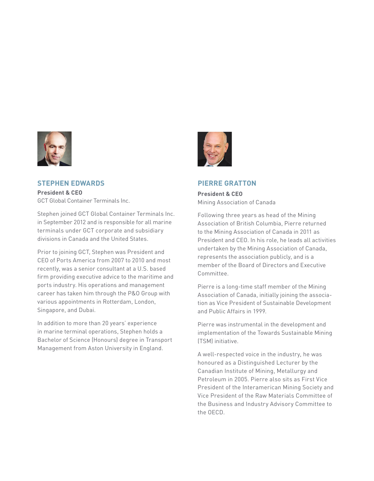

# **STEPHEN EDWARDS**

**President & CEO** GCT Global Container Terminals Inc.

Stephen joined GCT Global Container Terminals Inc. in September 2012 and is responsible for all marine terminals under GCT corporate and subsidiary divisions in Canada and the United States.

Prior to joining GCT, Stephen was President and CEO of Ports America from 2007 to 2010 and most recently, was a senior consultant at a U.S. based firm providing executive advice to the maritime and ports industry. His operations and management career has taken him through the P&O Group with various appointments in Rotterdam, London, Singapore, and Dubai.

In addition to more than 20 years' experience in marine terminal operations, Stephen holds a Bachelor of Science (Honours) degree in Transport Management from Aston University in England.



### **PIERRE GRATTON**

**President & CEO** Mining Association of Canada

Following three years as head of the Mining Association of British Columbia, Pierre returned to the Mining Association of Canada in 2011 as President and CEO. In his role, he leads all activities undertaken by the Mining Association of Canada, represents the association publicly, and is a member of the Board of Directors and Executive Committee.

Pierre is a long-time staff member of the Mining Association of Canada, initially joining the association as Vice President of Sustainable Development and Public Affairs in 1999.

Pierre was instrumental in the development and implementation of the Towards Sustainable Mining (TSM) initiative.

A well-respected voice in the industry, he was honoured as a Distinguished Lecturer by the Canadian Institute of Mining, Metallurgy and Petroleum in 2005. Pierre also sits as First Vice President of the Interamerican Mining Society and Vice President of the Raw Materials Committee of the Business and Industry Advisory Committee to the OECD.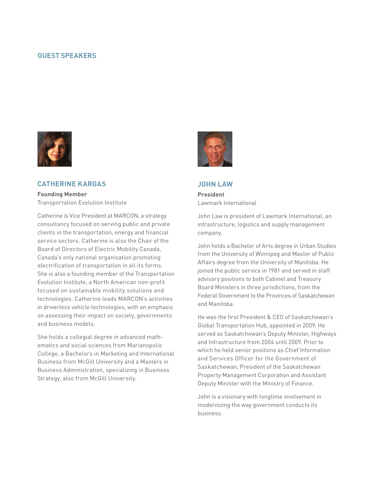### **GUEST SPEAKERS**



## **CATHERINE KARGAS**

**Founding Member** Transportation Evolution Institute

Catherine is Vice President at MARCON, a strategy consultancy focused on serving public and private clients in the transportation, energy and financial service sectors. Catherine is also the Chair of the Board of Directors of Electric Mobility Canada, Canada's only national organisation promoting electrification of transportation in all its forms. She is also a founding member of the Transportation Evolution Institute, a North American non-profit focused on sustainable mobility solutions and technologies. Catherine leads MARCON's activities in driverless vehicle technologies, with an emphasis on assessing their impact on society, governments and business models.

She holds a collegial degree in advanced mathematics and social sciences from Marianopolis College, a Bachelors in Marketing and International Business from McGill University and a Masters in Business Administration, specializing in Business Strategy, also from McGill University.



### **JOHN LAW**

**President** Lawmark International

John Law is president of Lawmark International, an infrastructure, logistics and supply management company.

John holds a Bachelor of Arts degree in Urban Studies from the University of Winnipeg and Master of Public Affairs degree from the University of Manitoba. He joined the public service in 1981 and served in staff advisory positions to both Cabinet and Treasury Board Ministers in three jurisdictions, from the Federal Government to the Provinces of Saskatchewan and Manitoba.

He was the first President & CEO of Saskatchewan's Global Transportation Hub, appointed in 2009. He served as Saskatchewan's Deputy Minister, Highways and Infrastructure from 2004 until 2009. Prior to which he held senior positions as Chief Information and Services Officer for the Government of Saskatchewan, President of the Saskatchewan Property Management Corporation and Assistant Deputy Minister with the Ministry of Finance.

John is a visionary with longtime involvement in modernizing the way government conducts its business.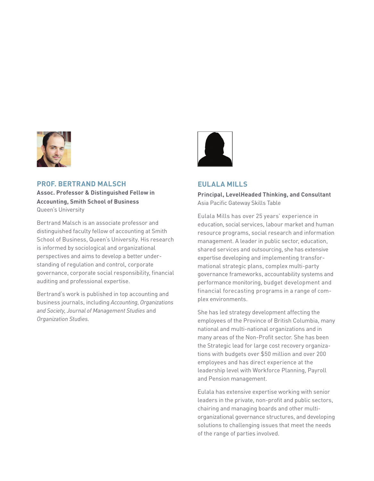

# **PROF. BERTRAND MALSCH Assoc. Professor & Distinguished Fellow in Accounting, Smith School of Business** Queen's University

Bertrand Malsch is an associate professor and distinguished faculty fellow of accounting at Smith School of Business, Queen's University. His research is informed by sociological and organizational perspectives and aims to develop a better understanding of regulation and control, corporate governance, corporate social responsibility, financial auditing and professional expertise.

Bertrand's work is published in top accounting and business journals, including *Accounting*, *Organizations and Society*, *Journal of Management Studies* and *Organization Studies*.



## **EULALA MILLS**

**Principal, LevelHeaded Thinking, and Consultant** Asia Pacific Gateway Skills Table

Eulala Mills has over 25 years' experience in education, social services, labour market and human resource programs, social research and information management. A leader in public sector, education, shared services and outsourcing, she has extensive expertise developing and implementing transformational strategic plans, complex multi-party governance frameworks, accountability systems and performance monitoring, budget development and financial forecasting programs in a range of complex environments.

She has led strategy development affecting the employees of the Province of British Columbia, many national and multi-national organizations and in many areas of the Non-Profit sector. She has been the Strategic lead for large cost recovery organizations with budgets over \$50 million and over 200 employees and has direct experience at the leadership level with Workforce Planning, Payroll and Pension management.

Eulala has extensive expertise working with senior leaders in the private, non-profit and public sectors, chairing and managing boards and other multiorganizational governance structures, and developing solutions to challenging issues that meet the needs of the range of parties involved.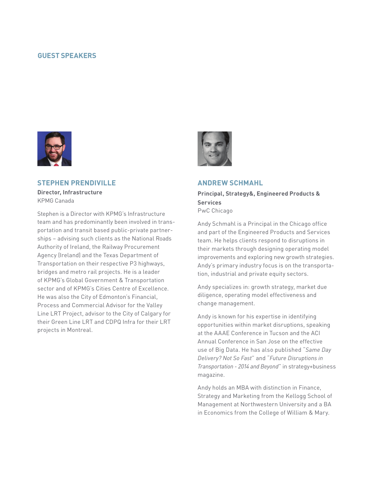### **GUEST SPEAKERS**



#### **STEPHEN PRENDIVILLE**

**Director, Infrastructure** KPMG Canada

Stephen is a Director with KPMG's Infrastructure team and has predominantly been involved in transportation and transit based public-private partnerships – advising such clients as the National Roads Authority of Ireland, the Railway Procurement Agency (Ireland) and the Texas Department of Transportation on their respective P3 highways, bridges and metro rail projects. He is a leader of KPMG's Global Government & Transportation sector and of KPMG's Cities Centre of Excellence. He was also the City of Edmonton's Financial, Process and Commercial Advisor for the Valley Line LRT Project, advisor to the City of Calgary for their Green Line LRT and CDPQ Infra for their LRT projects in Montreal.



#### **ANDREW SCHMAHL**

**Principal, Strategy&, Engineered Products & Services** PwC Chicago

Andy Schmahl is a Principal in the Chicago office and part of the Engineered Products and Services team. He helps clients respond to disruptions in their markets through designing operating model improvements and exploring new growth strategies. Andy's primary industry focus is on the transportation, industrial and private equity sectors.

Andy specializes in: growth strategy, market due diligence, operating model effectiveness and change management.

Andy is known for his expertise in identifying opportunities within market disruptions, speaking at the AAAE Conference in Tucson and the ACI Annual Conference in San Jose on the effective use of Big Data. He has also published "*Same Day Delivery? Not So Fast*" and "*Future Disruptions in Transportation - 2014 and Beyond*" in strategy+business magazine.

Andy holds an MBA with distinction in Finance, Strategy and Marketing from the Kellogg School of Management at Northwestern University and a BA in Economics from the College of William & Mary.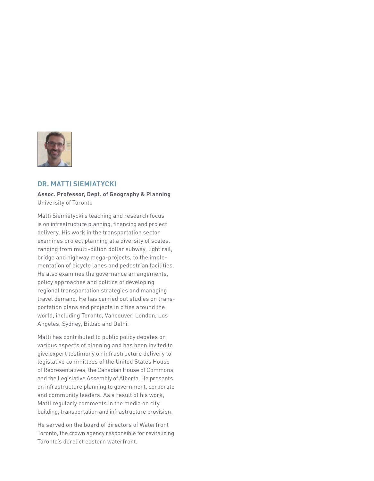

### **DR. MATTI SIEMIATYCKI**

**Assoc. Professor, Dept. of Geography & Planning** University of Toronto

Matti Siemiatycki's teaching and research focus is on infrastructure planning, financing and project delivery. His work in the transportation sector examines project planning at a diversity of scales, ranging from multi-billion dollar subway, light rail, bridge and highway mega-projects, to the implementation of bicycle lanes and pedestrian facilities. He also examines the governance arrangements, policy approaches and politics of developing regional transportation strategies and managing travel demand. He has carried out studies on transportation plans and projects in cities around the world, including Toronto, Vancouver, London, Los Angeles, Sydney, Bilbao and Delhi.

Matti has contributed to public policy debates on various aspects of planning and has been invited to give expert testimony on infrastructure delivery to legislative committees of the United States House of Representatives, the Canadian House of Commons, and the Legislative Assembly of Alberta. He presents on infrastructure planning to government, corporate and community leaders. As a result of his work, Matti regularly comments in the media on city building, transportation and infrastructure provision.

He served on the board of directors of Waterfront Toronto, the crown agency responsible for revitalizing Toronto's derelict eastern waterfront.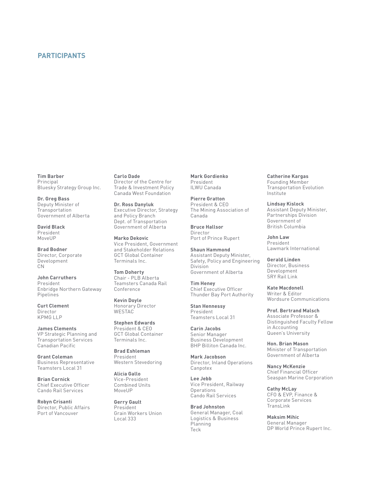## **PARTICIPANTS**

**Tim Barber** Principal Bluesky Strategy Group Inc.

**Dr. Greg Bass** Deputy Minister of **Transportation** Government of Alberta

**David Black** President MoveUP

**Brad Bodner** Director, Corporate Development CN

**John Carruthers** President Enbridge Northern Gateway Pipelines

**Curt Clement** Director KPMG LLP

**James Clements** VP Strategic Planning and Transportation Services Canadian Pacific

**Grant Coleman** Business Representative Teamsters Local 31

**Brian Cornick** Chief Executive Officer Cando Rail Services

**Robyn Crisanti** Director, Public Affairs Port of Vancouver

**Carlo Dade** Director of the Centre for Trade & Investment Policy Canada West Foundation

**Dr. Ross Danyluk** Executive Director, Strategy and Policy Branch Dept. of Transportation Government of Alberta

**Marko Dekovic** Vice President, Government and Stakeholder Relations GCT Global Container Terminals Inc.

**Tom Doherty** Chair - PLB Alberta Teamsters Canada Rail Conference

**Kevin Doyle** Honorary Director **WESTAC** 

**Stephen Edwards** President & CEO GCT Global Container Terminals Inc.

**Brad Eshleman** President Western Stevedoring

**Alicia Gallo** Vice-President Combined Units MoveUP

**Gerry Gault** President Grain Workers Union Local 333

**Mark Gordienko** President ILWU Canada

**Pierre Gratton** President & CEO The Mining Association of Canada

**Bruce Hallsor** Director Port of Prince Rupert

**Shaun Hammond** Assistant Deputy Minister, Safety, Policy and Engineering Division Government of Alberta

**Tim Heney** Chief Executive Officer Thunder Bay Port Authority

**Stan Hennessy** President Teamsters Local 31

**Carin Jacobs** Senior Manager Business Development BHP Billiton Canada Inc.

**Mark Jacobson** Director, Inland Operations Canpotex

**Lee Jebb** Vice President, Railway **Operations** Cando Rail Services

**Brad Johnston** General Manager, Coal Logistics & Business Planning Teck

#### **Catherine Kargas**

Founding Member Transportation Evolution Institute

**Lindsay Kislock** Assistant Deputy Minister,

Partnerships Division Government of British Columbia

**John Law** President Lawmark International

**Gerald Linden** Director, Business Development SRY Rail Link

**Kate Macdonell** Writer & Editor Wordsure Communications

**Prof. Bertrand Malsch** Associate Professor & Distinguished Faculty Fellow in Accounting Queen's University

**Hon. Brian Mason** Minister of Transportation Government of Alberta

**Nancy McKenzie** Chief Financial Officer Seaspan Marine Corporation

**Cathy McLay** CFO & EVP, Finance & Corporate Services TransLink

**Maksim Mihic** General Manager DP World Prince Rupert Inc.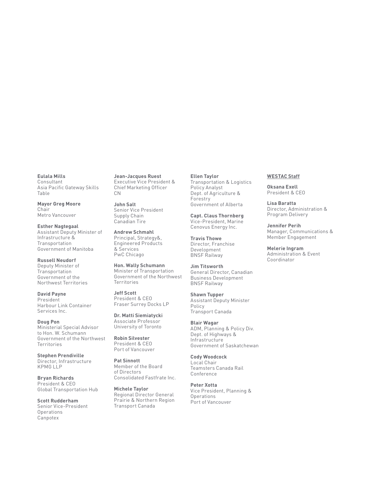**Eulala Mills** Consultant Asia Pacific Gateway Skills Table

**Mayor Greg Moore** Chair Metro Vancouver

**Esther Nagtegaal** Assistant Deputy Minister of Infrastructure & Transportation Government of Manitoba

**Russell Neudorf** Deputy Minister of Transportation Government of the Northwest Territories

**David Payne** President Harbour Link Container Services Inc.

**Doug Pon** Ministerial Special Advisor to Hon. W. Schumann Government of the Northwest Territories

**Stephen Prendiville** Director, Infrastructure KPMG LLP

**Bryan Richards** President & CEO Global Transportation Hub

**Scott Rudderham** Senior Vice-President **Operations** Canpotex

**Jean-Jacques Ruest** Executive Vice President & Chief Marketing Officer CN

**John Salt** Senior Vice President Supply Chain Canadian Tire

**Andrew Schmahl** Principal, Strategy&, Engineered Products & Services PwC Chicago

**Hon. Wally Schumann** Minister of Transportation Government of the Northwest Territories

**Jeff Scott** President & CEO Fraser Surrey Docks LP

**Dr. Matti Siemiatycki** Associate Professor University of Toronto

**Robin Silvester** President & CEO Port of Vancouver

**Pat Sinnott** Member of the Board of Directors Consolidated Fastfrate Inc.

**Michele Taylor** Regional Director General Prairie & Northern Region Transport Canada

**Ellen Taylor** Transportation & Logistics Policy Analyst Dept. of Agriculture & Forestry Government of Alberta

**Capt. Claus Thornberg** Vice-President, Marine Cenovus Energy Inc.

**Travis Thowe** Director, Franchise Development BNSF Railway

**Jim Titsworth** General Director, Canadian Business Development BNSF Railway

**Shawn Tupper** Assistant Deputy Minister Policy Transport Canada

**Blair Wagar** ADM, Planning & Policy Div. Dept. of Highways & Infrastructure Government of Saskatchewan

**Cody Woodcock** Local Chair Teamsters Canada Rail Conference

**Peter Xotta** Vice President, Planning & Operations Port of Vancouver

#### **WESTAC Staff**

**Oksana Exell** President & CEO

**Lisa Baratta** Director, Administration & Program Delivery

**Jennifer Perih** Manager, Communications & Member Engagement

**Melerie Ingram** Administration & Event Coordinator